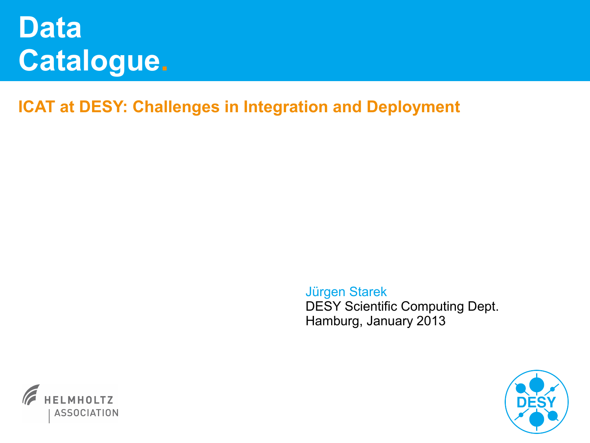# **Data Catalogue.**

**ICAT at DESY: Challenges in Integration and Deployment**

Jürgen Starek DESY Scientific Computing Dept. Hamburg, January 2013



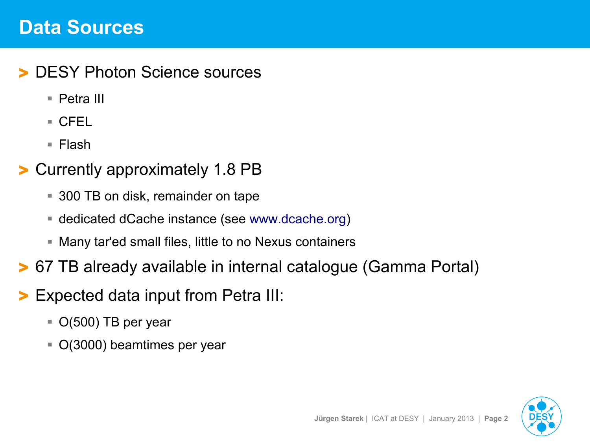## **Data Sources**

#### DESY Photon Science sources

- Petra III
- CFEL
- Flash

#### > Currently approximately 1.8 PB

- 300 TB on disk, remainder on tape
- dedicated dCache instance (see [www.dcache.org](http://www.dcache.org/))
- Many tar'ed small files, little to no Nexus containers
- > 67 TB already available in internal catalogue (Gamma Portal)
- > Expected data input from Petra III:
	- $\bullet$  O(500) TB per year
	- O(3000) beamtimes per year

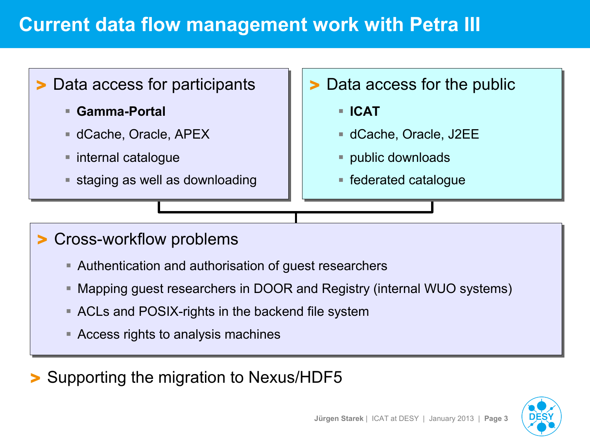## **Current data flow management work with Petra III**

## > Data access for participants > Data access for participants

- **Gamma-Portal Gamma-Portal**
- dCache, Oracle, APEX dCache, Oracle, APEX
- internal catalogue internal catalogue
- $\blacksquare$  staging as well as downloading

## > Data access for the public > Data access for the public

- **ICAT ICAT**
- dCache, Oracle, J2EE dCache, Oracle, J2EE
- public downloads public downloads
- federated catalogue federated catalogue

## > Cross-workflow problems > Cross-workflow problems

- Authentication and authorisation of guest researchers Authentication and authorisation of guest researchers
- Mapping guest researchers in DOOR and Registry (internal WUO systems) Mapping guest researchers in DOOR and Registry (internal WUO systems)
- ACLs and POSIX-rights in the backend file system ACLs and POSIX-rights in the backend file system
- Access rights to analysis machines Access rights to analysis machines

> Supporting the migration to Nexus/HDF5

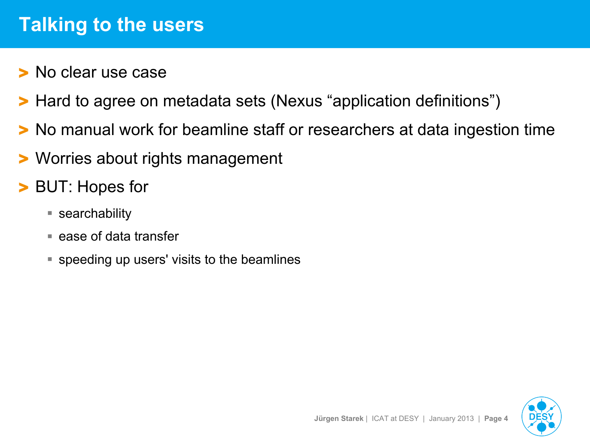## **Talking to the users**

- > No clear use case
- > Hard to agree on metadata sets (Nexus "application definitions")
- > No manual work for beamline staff or researchers at data ingestion time
- > Worries about rights management
- BUT: Hopes for
	- searchability
	- $\blacksquare$  ease of data transfer
	- speeding up users' visits to the beamlines

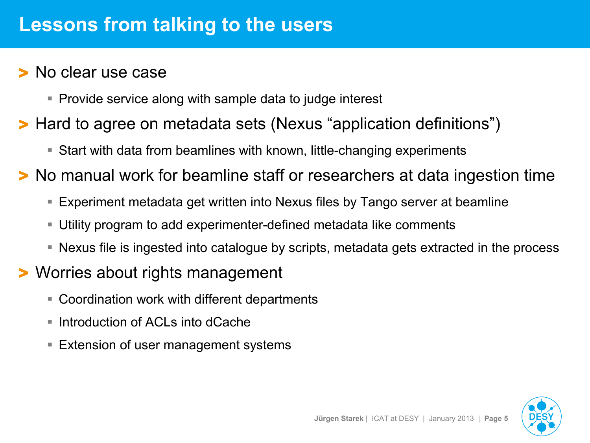#### > No clear use case

- Provide service along with sample data to judge interest
- > Hard to agree on metadata sets (Nexus "application definitions")
	- Start with data from beamlines with known, little-changing experiments

> No manual work for beamline staff or researchers at data ingestion time

- Experiment metadata get written into Nexus files by Tango server at beamline
- Utility program to add experimenter-defined metadata like comments
- Nexus file is ingested into catalogue by scripts, metadata gets extracted in the process

### > Worries about rights management

- Coordination work with different departments
- Introduction of ACLs into dCache
- **Extension of user management systems**

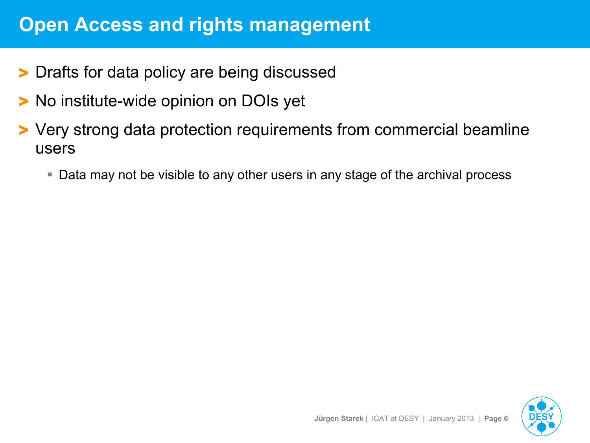## **Open Access and rights management**

- > Drafts for data policy are being discussed
- > No institute-wide opinion on DOIs yet
- > Very strong data protection requirements from commercial beamline users
	- Data may not be visible to any other users in any stage of the archival process

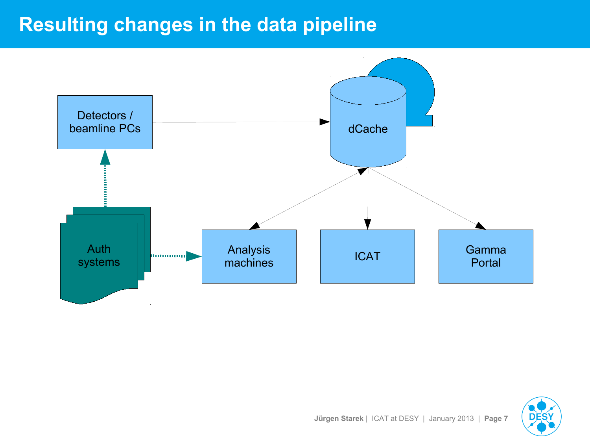# **Resulting changes in the data pipeline**



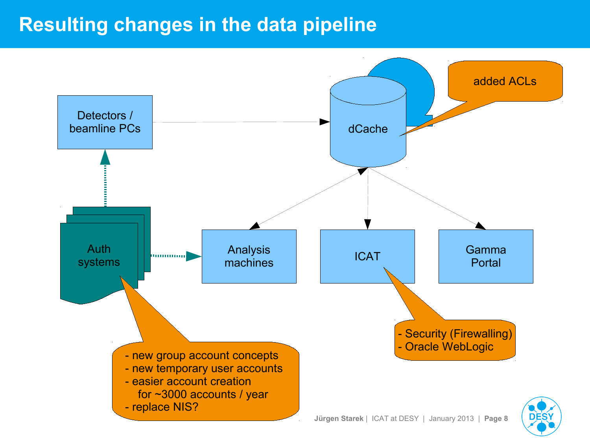## **Resulting changes in the data pipeline**

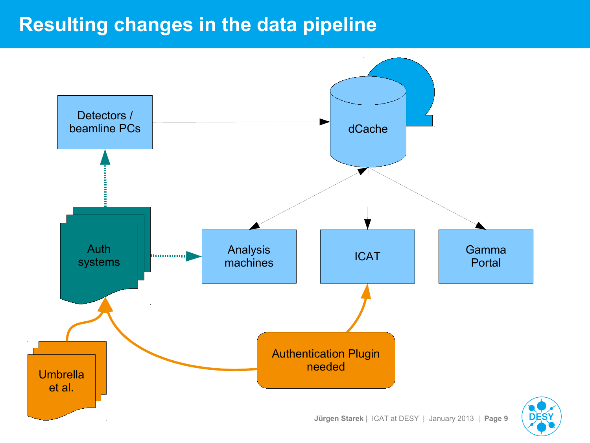## **Resulting changes in the data pipeline**

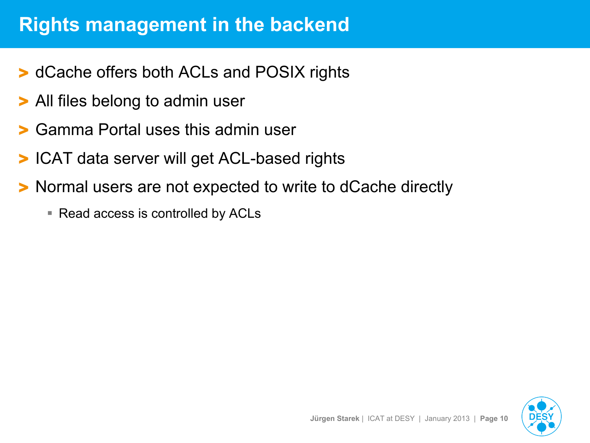## **Rights management in the backend**

- > dCache offers both ACLs and POSIX rights
- > All files belong to admin user
- > Gamma Portal uses this admin user
- ICAT data server will get ACL-based rights
- > Normal users are not expected to write to dCache directly
	- Read access is controlled by ACLs